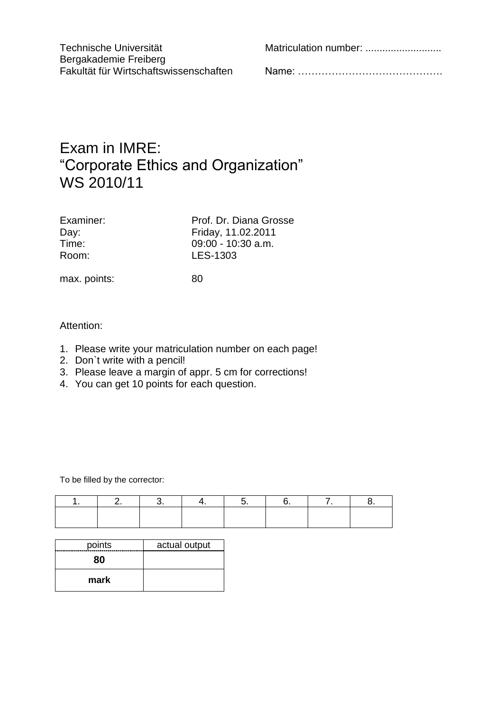Technische Universität Matriculation number: ...................................

Bergakademie Freiberg<br>Fakultät für Wirtschaftswissenschaften

Fakultät für Wirtschaftswissenschaften Name: …………………………………….

## Exam in IMRE: "Corporate Ethics and Organization" WS 2010/11

| Examiner: |  |  |  |  |  |
|-----------|--|--|--|--|--|
| Day:      |  |  |  |  |  |
| Time:     |  |  |  |  |  |
| Room:     |  |  |  |  |  |

Prof. Dr. Diana Grosse Day: Friday, 11.02.2011  $09:00 - 10:30$  a.m. LES-1303

max. points: 80

## Attention:

- 1. Please write your matriculation number on each page!
- 2. Don`t write with a pencil!
- 3. Please leave a margin of appr. 5 cm for corrections!
- 4. You can get 10 points for each question.

To be filled by the corrector:

| points | actual output |  |  |
|--------|---------------|--|--|
| 80     |               |  |  |
| mark   |               |  |  |